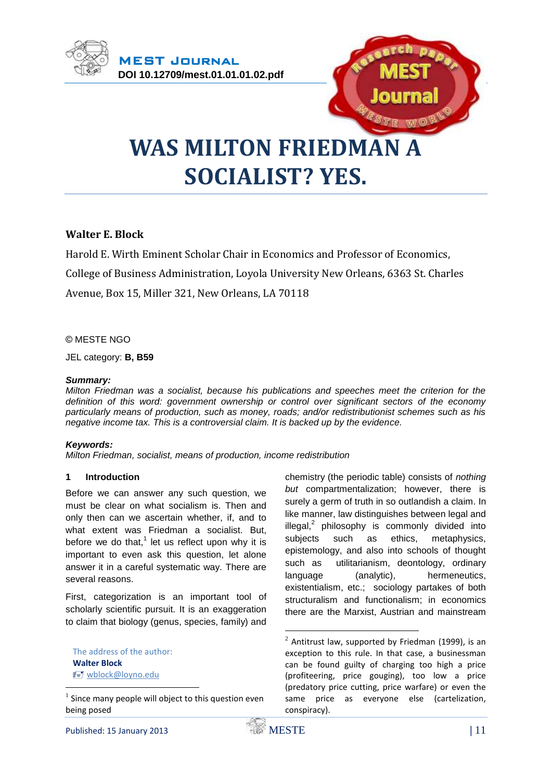



# **WAS MILTON FRIEDMAN A SOCIALIST? YES.**

## **Walter E. Block**

Harold E. Wirth Eminent Scholar Chair in Economics and Professor of Economics, College of Business Administration, Loyola University New Orleans, 6363 St. Charles Avenue, Box 15, Miller 321, New Orleans, LA 70118

#### © MESTE NGO

JEL category: **B, B59**

#### *Summary:*

*Milton Friedman was a socialist, because his publications and speeches meet the criterion for the definition of this word: government ownership or control over significant sectors of the economy particularly means of production, such as money, roads; and/or redistributionist schemes such as his negative income tax. This is a controversial claim. It is backed up by the evidence.*

#### *Keywords:*

*Milton Friedman, socialist, means of production, income redistribution*

#### **1 Introduction**

Before we can answer any such question, we must be clear on what socialism is. Then and only then can we ascertain whether, if, and to what extent was Friedman a socialist. But, before we do that, $1$  let us reflect upon why it is important to even ask this question, let alone answer it in a careful systematic way. There are several reasons.

First, categorization is an important tool of scholarly scientific pursuit. It is an exaggeration to claim that biology (genus, species, family) and

The address of the author: **Walter Block** [wblock@loyno.edu](mailto:wblock@loyno.edu)

1

chemistry (the periodic table) consists of *nothing but* compartmentalization; however, there is surely a germ of truth in so outlandish a claim. In like manner, law distinguishes between legal and illegal, $^2$  philosophy is commonly divided into subjects such as ethics, metaphysics, epistemology, and also into schools of thought such as utilitarianism, deontology, ordinary language (analytic), hermeneutics, existentialism, etc.; sociology partakes of both structuralism and functionalism; in economics there are the Marxist, Austrian and mainstream

 $<sup>1</sup>$  Since many people will object to this question even</sup> being posed

 $2$  Antitrust law, supported by Friedman (1999), is an exception to this rule. In that case, a businessman can be found guilty of charging too high a price (profiteering, price gouging), too low a price (predatory price cutting, price warfare) or even the same price as everyone else (cartelization, conspiracy).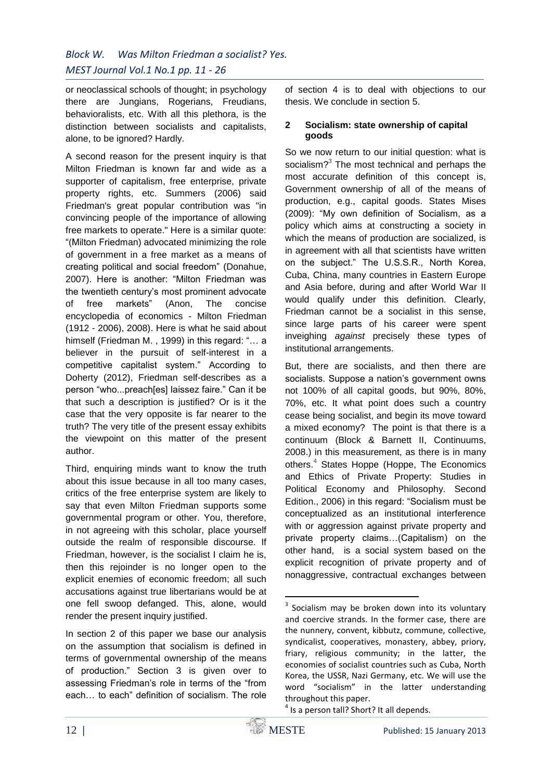or neoclassical schools of thought; in psychology there are Jungians, Rogerians, Freudians, behavioralists, etc. With all this plethora, is the distinction between socialists and capitalists, alone, to be ignored? Hardly.

A second reason for the present inquiry is that Milton Friedman is known far and wide as a supporter of capitalism, free enterprise, private property rights, etc. Summers (2006) said Friedman's great popular contribution was "in convincing people of the importance of allowing free markets to operate." Here is a similar quote: "(Milton Friedman) advocated minimizing the role of government in a free market as a means of creating political and social freedom" (Donahue, 2007). Here is another: "Milton Friedman was the twentieth century's most prominent advocate of free markets" (Anon, The concise encyclopedia of economics - Milton Friedman (1912 - 2006), 2008). Here is what he said about himself (Friedman M., 1999) in this regard: "... a believer in the pursuit of self-interest in a competitive capitalist system." According to Doherty (2012), Friedman self-describes as a person "who...preach[es] laissez faire." Can it be that such a description is justified? Or is it the case that the very opposite is far nearer to the truth? The very title of the present essay exhibits the viewpoint on this matter of the present author.

Third, enquiring minds want to know the truth about this issue because in all too many cases, critics of the free enterprise system are likely to say that even Milton Friedman supports some governmental program or other. You, therefore, in not agreeing with this scholar, place yourself outside the realm of responsible discourse. If Friedman, however, is the socialist I claim he is, then this rejoinder is no longer open to the explicit enemies of economic freedom; all such accusations against true libertarians would be at one fell swoop defanged. This, alone, would render the present inquiry justified.

In section 2 of this paper we base our analysis on the assumption that socialism is defined in terms of governmental ownership of the means of production." Section 3 is given over to assessing Friedman's role in terms of the "from each… to each" definition of socialism. The role

of section 4 is to deal with objections to our thesis. We conclude in section 5.

## **2 Socialism: state ownership of capital goods**

So we now return to our initial question: what is socialism?<sup>3</sup> The most technical and perhaps the most accurate definition of this concept is, Government ownership of all of the means of production, e.g., capital goods. States Mises (2009): "My own definition of Socialism, as a policy which aims at constructing a society in which the means of production are socialized, is in agreement with all that scientists have written on the subject." The U.S.S.R., North Korea, Cuba, China, many countries in Eastern Europe and Asia before, during and after World War II would qualify under this definition. Clearly, Friedman cannot be a socialist in this sense, since large parts of his career were spent inveighing *against* precisely these types of institutional arrangements.

But, there are socialists, and then there are socialists. Suppose a nation's government owns not 100% of all capital goods, but 90%, 80%, 70%, etc. It what point does such a country cease being socialist, and begin its move toward a mixed economy? The point is that there is a continuum (Block & Barnett II, Continuums, 2008.) in this measurement, as there is in many others.<sup>4</sup> States Hoppe (Hoppe, The Economics and Ethics of Private Property: Studies in Political Economy and Philosophy. Second Edition., 2006) in this regard: "Socialism must be conceptualized as an institutional interference with or aggression against private property and private property claims…(Capitalism) on the other hand, is a social system based on the explicit recognition of private property and of nonaggressive, contractual exchanges between

<sup>1</sup> <sup>3</sup> Socialism may be broken down into its voluntary and coercive strands. In the former case, there are the nunnery, convent, kibbutz, commune, collective, syndicalist, cooperatives, monastery, abbey, priory, friary, religious community; in the latter, the economies of socialist countries such as Cuba, North Korea, the USSR, Nazi Germany, etc. We will use the word "socialism" in the latter understanding throughout this paper.

<sup>&</sup>lt;sup>4</sup> Is a person tall? Short? It all depends.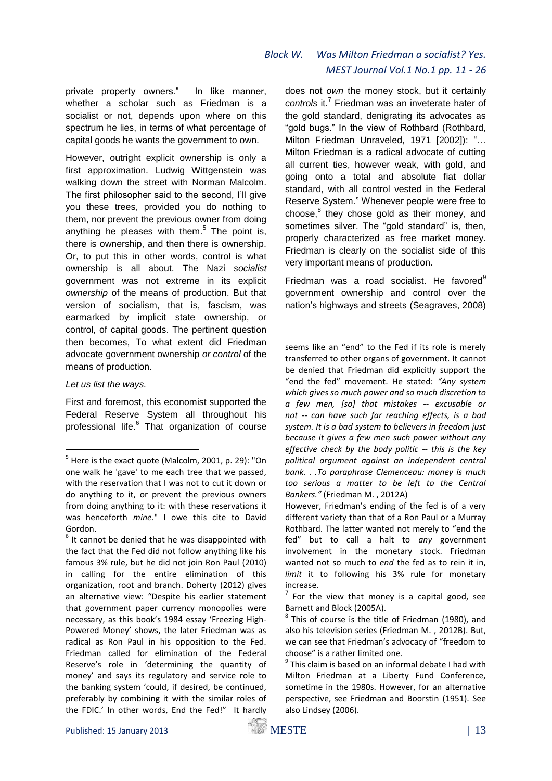private property owners." In like manner, whether a scholar such as Friedman is a socialist or not, depends upon where on this spectrum he lies, in terms of what percentage of capital goods he wants the government to own.

However, outright explicit ownership is only a first approximation. Ludwig Wittgenstein was walking down the street with Norman Malcolm. The first philosopher said to the second, I'll give you these trees, provided you do nothing to them, nor prevent the previous owner from doing anything he pleases with them. $5$  The point is, there is ownership, and then there is ownership. Or, to put this in other words, control is what ownership is all about. The Nazi *socialist* government was not extreme in its explicit *ownership* of the means of production. But that version of socialism, that is, fascism, was earmarked by implicit state ownership, or control, of capital goods. The pertinent question then becomes, To what extent did Friedman advocate government ownership *or control* of the means of production.

*Let us list the ways.* 

1

First and foremost, this economist supported the Federal Reserve System all throughout his professional life.<sup>6</sup> That organization of course does not *own* the money stock, but it certainly controls it.<sup>7</sup> Friedman was an inveterate hater of the gold standard, denigrating its advocates as "gold bugs." In the view of Rothbard (Rothbard, Milton Friedman Unraveled, 1971 [2002]): "… Milton Friedman is a radical advocate of cutting all current ties, however weak, with gold, and going onto a total and absolute fiat dollar standard, with all control vested in the Federal Reserve System." Whenever people were free to choose,<sup>8</sup> they chose gold as their money, and sometimes silver. The "gold standard" is, then, properly characterized as free market money. Friedman is clearly on the socialist side of this very important means of production.

Friedman was a road socialist. He favored $9$ government ownership and control over the nation's highways and streets (Seagraves, 2008)

seems like an "end" to the Fed if its role is merely transferred to other organs of government. It cannot be denied that Friedman did explicitly support the "end the fed" movement. He stated: *"Any system which gives so much power and so much discretion to a few men, [so] that mistakes -- excusable or not -- can have such far reaching effects, is a bad system. It is a bad system to believers in freedom just because it gives a few men such power without any effective check by the body politic -- this is the key political argument against an independent central bank. . .To paraphrase Clemenceau: money is much too serious a matter to be left to the Central Bankers."* (Friedman M. , 2012A)

 $7$  For the view that money is a capital good, see Barnett and Block (2005A).

<sup>&</sup>lt;sup>5</sup> Here is the exact quote (Malcolm, 2001, p. 29): "On one walk he 'gave' to me each tree that we passed, with the reservation that I was not to cut it down or do anything to it, or prevent the previous owners from doing anything to it: with these reservations it was henceforth *mine*." I owe this cite to David Gordon.

 $<sup>6</sup>$  It cannot be denied that he was disappointed with</sup> the fact that the Fed did not follow anything like his famous 3% rule, but he did not join Ron Paul (2010) in calling for the entire elimination of this organization, root and branch. Doherty (2012) gives an alternative view: "Despite his earlier statement that government paper currency monopolies were necessary, as this book's 1984 essay 'Freezing High-Powered Money' shows, the later Friedman was as radical as Ron Paul in his opposition to the Fed. Friedman called for elimination of the Federal Reserve's role in 'determining the quantity of money' and says its regulatory and service role to the banking system 'could, if desired, be continued, preferably by combining it with the similar roles of the FDIC.' In other words, End the Fed!" It hardly

However, Friedman's ending of the fed is of a very different variety than that of a Ron Paul or a Murray Rothbard. The latter wanted not merely to "end the fed" but to call a halt to *any* government involvement in the monetary stock. Friedman wanted not so much to *end* the fed as to rein it in, *limit* it to following his 3% rule for monetary increase.

 $8$  This of course is the title of Friedman (1980), and also his television series (Friedman M. , 2012B). But, we can see that Friedman's advocacy of "freedom to choose" is a rather limited one.

 $9$  This claim is based on an informal debate I had with Milton Friedman at a Liberty Fund Conference, sometime in the 1980s. However, for an alternative perspective, see Friedman and Boorstin (1951). See also Lindsey (2006).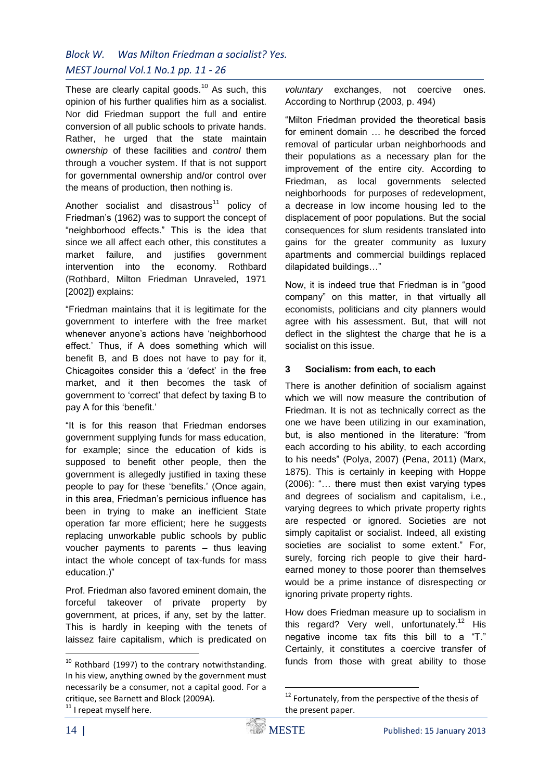These are clearly capital goods. $10$  As such, this opinion of his further qualifies him as a socialist. Nor did Friedman support the full and entire conversion of all public schools to private hands. Rather, he urged that the state maintain *ownership* of these facilities and *control* them through a voucher system. If that is not support for governmental ownership and/or control over the means of production, then nothing is.

Another socialist and disastrous<sup>11</sup> policy of Friedman's (1962) was to support the concept of "neighborhood effects." This is the idea that since we all affect each other, this constitutes a market failure, and justifies government intervention into the economy. Rothbard (Rothbard, Milton Friedman Unraveled, 1971 [2002]) explains:

"Friedman maintains that it is legitimate for the government to interfere with the free market whenever anyone's actions have 'neighborhood effect.' Thus, if A does something which will benefit B, and B does not have to pay for it, Chicagoites consider this a 'defect' in the free market, and it then becomes the task of government to 'correct' that defect by taxing B to pay A for this 'benefit.'

"It is for this reason that Friedman endorses government supplying funds for mass education, for example; since the education of kids is supposed to benefit other people, then the government is allegedly justified in taxing these people to pay for these 'benefits.' (Once again, in this area, Friedman's pernicious influence has been in trying to make an inefficient State operation far more efficient; here he suggests replacing unworkable public schools by public voucher payments to parents – thus leaving intact the whole concept of tax-funds for mass education.)"

Prof. Friedman also favored eminent domain, the forceful takeover of private property by government, at prices, if any, set by the latter. This is hardly in keeping with the tenets of laissez faire capitalism, which is predicated on

 $11$  I repeat myself here.

*voluntary* exchanges, not coercive ones. According to Northrup (2003, p. 494)

"Milton Friedman provided the theoretical basis for eminent domain … he described the forced removal of particular urban neighborhoods and their populations as a necessary plan for the improvement of the entire city. According to Friedman, as local governments selected neighborhoods for purposes of redevelopment, a decrease in low income housing led to the displacement of poor populations. But the social consequences for slum residents translated into gains for the greater community as luxury apartments and commercial buildings replaced dilapidated buildings…"

Now, it is indeed true that Friedman is in "good company" on this matter, in that virtually all economists, politicians and city planners would agree with his assessment. But, that will not deflect in the slightest the charge that he is a socialist on this issue.

## **3 Socialism: from each, to each**

There is another definition of socialism against which we will now measure the contribution of Friedman. It is not as technically correct as the one we have been utilizing in our examination, but, is also mentioned in the literature: "from each according to his ability, to each according to his needs" (Polya, 2007) (Pena, 2011) (Marx, 1875). This is certainly in keeping with Hoppe (2006): "… there must then exist varying types and degrees of socialism and capitalism, i.e., varying degrees to which private property rights are respected or ignored. Societies are not simply capitalist or socialist. Indeed, all existing societies are socialist to some extent." For, surely, forcing rich people to give their hardearned money to those poorer than themselves would be a prime instance of disrespecting or ignoring private property rights.

How does Friedman measure up to socialism in this regard? Very well, unfortunately.<sup>12</sup> His negative income tax fits this bill to a "T." Certainly, it constitutes a coercive transfer of funds from those with great ability to those

1

 $10$  Rothbard (1997) to the contrary notwithstanding. In his view, anything owned by the government must necessarily be a consumer, not a capital good. For a critique, see Barnett and Block (2009A).

<sup>&</sup>lt;sup>12</sup> Fortunately, from the perspective of the thesis of the present paper.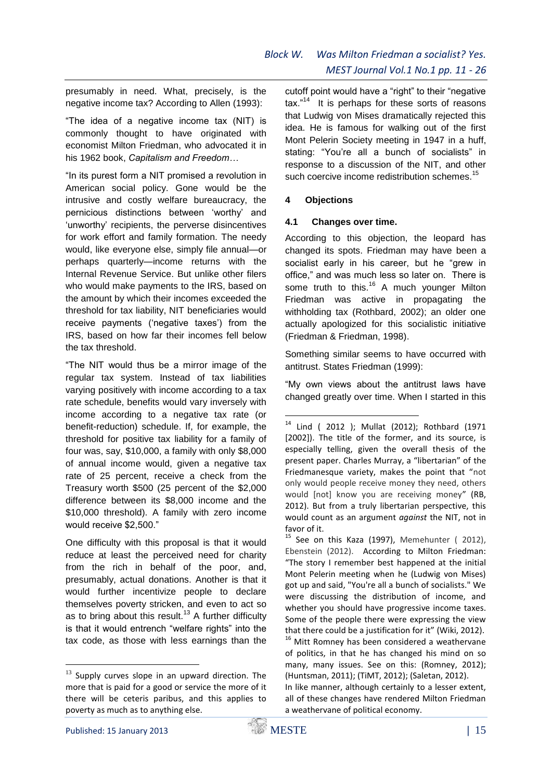presumably in need. What, precisely, is the negative income tax? According to Allen (1993):

"The idea of a negative income tax (NIT) is commonly thought to have originated with economist Milton Friedman, who advocated it in his 1962 book, *Capitalism and Freedom…*

"In its purest form a NIT promised a revolution in American social policy. Gone would be the intrusive and costly welfare bureaucracy, the pernicious distinctions between 'worthy' and 'unworthy' recipients, the perverse disincentives for work effort and family formation. The needy would, like everyone else, simply file annual—or perhaps quarterly—income returns with the Internal Revenue Service. But unlike other filers who would make payments to the IRS, based on the amount by which their incomes exceeded the threshold for tax liability, NIT beneficiaries would receive payments ('negative taxes') from the IRS, based on how far their incomes fell below the tax threshold.

"The NIT would thus be a mirror image of the regular tax system. Instead of tax liabilities varying positively with income according to a tax rate schedule, benefits would vary inversely with income according to a negative tax rate (or benefit-reduction) schedule. If, for example, the threshold for positive tax liability for a family of four was, say, \$10,000, a family with only \$8,000 of annual income would, given a negative tax rate of 25 percent, receive a check from the Treasury worth \$500 (25 percent of the \$2,000 difference between its \$8,000 income and the \$10,000 threshold). A family with zero income would receive \$2,500."

One difficulty with this proposal is that it would reduce at least the perceived need for charity from the rich in behalf of the poor, and, presumably, actual donations. Another is that it would further incentivize people to declare themselves poverty stricken, and even to act so as to bring about this result.<sup>13</sup> A further difficulty is that it would entrench "welfare rights" into the tax code, as those with less earnings than the

cutoff point would have a "right" to their "negative tax."<sup>14</sup> It is perhaps for these sorts of reasons that Ludwig von Mises dramatically rejected this idea. He is famous for walking out of the first Mont Pelerin Society meeting in 1947 in a huff, stating: "You're all a bunch of socialists" in response to a discussion of the NIT, and other such coercive income redistribution schemes.<sup>15</sup>

#### **4 Objections**

#### **4.1 Changes over time.**

According to this objection, the leopard has changed its spots. Friedman may have been a socialist early in his career, but he "grew in office," and was much less so later on. There is some truth to this.<sup>16</sup> A much younger Milton Friedman was active in propagating the withholding tax (Rothbard, 2002); an older one actually apologized for this socialistic initiative (Friedman & Friedman, 1998).

Something similar seems to have occurred with antitrust. States Friedman (1999):

"My own views about the antitrust laws have changed greatly over time. When I started in this

1

 $13$  Supply curves slope in an upward direction. The more that is paid for a good or service the more of it there will be ceteris paribus, and this applies to poverty as much as to anything else.

<sup>14</sup> Lind ( 2012 ); Mullat (2012); Rothbard (1971 [2002]). The title of the former, and its source, is especially telling, given the overall thesis of the present paper. Charles Murray, a "libertarian" of the Friedmanesque variety, makes the point that "not only would people receive money they need, others would [not] know you are receiving money" (RB, 2012). But from a truly libertarian perspective, this would count as an argument *against* the NIT, not in favor of it.

 $15$  See on this Kaza (1997), Memehunter (2012), Ebenstein (2012). According to Milton Friedman: "The story I remember best happened at the initial Mont Pelerin meeting when he (Ludwig von Mises) got up and said, "You're all a bunch of socialists." We were discussing the distribution of income, and whether you should have progressive income taxes. Some of the people there were expressing the view that there could be a justification for it" (Wiki, 2012). <sup>16</sup> Mitt Romney has been considered a weathervane of politics, in that he has changed his mind on so many, many issues. See on this: (Romney, 2012); (Huntsman, 2011); (TiMT, 2012); (Saletan, 2012).

In like manner, although certainly to a lesser extent, all of these changes have rendered Milton Friedman a weathervane of political economy.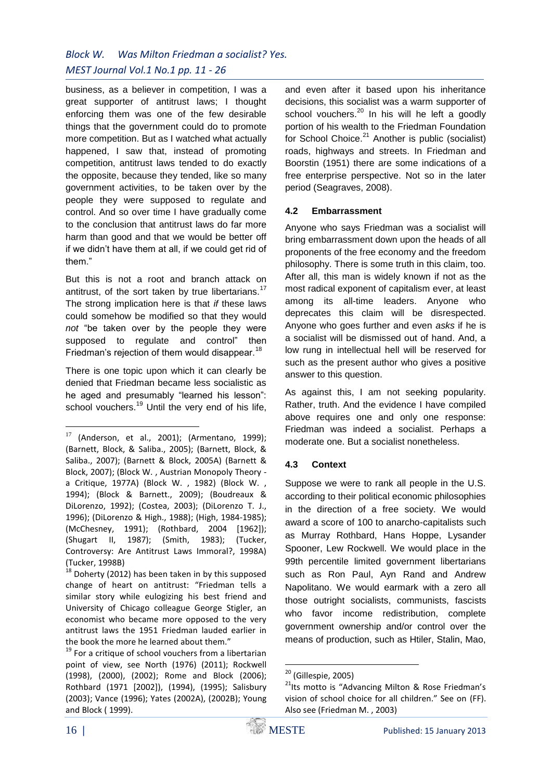business, as a believer in competition, I was a great supporter of antitrust laws; I thought enforcing them was one of the few desirable things that the government could do to promote more competition. But as I watched what actually happened, I saw that, instead of promoting competition, antitrust laws tended to do exactly the opposite, because they tended, like so many government activities, to be taken over by the people they were supposed to regulate and control. And so over time I have gradually come to the conclusion that antitrust laws do far more harm than good and that we would be better off if we didn't have them at all, if we could get rid of them."

But this is not a root and branch attack on antitrust, of the sort taken by true libertarians.<sup>17</sup> The strong implication here is that *if* these laws could somehow be modified so that they would *not* "be taken over by the people they were supposed to regulate and control" then Friedman's rejection of them would disappear.<sup>18</sup>

There is one topic upon which it can clearly be denied that Friedman became less socialistic as he aged and presumably "learned his lesson": school vouchers.<sup>19</sup> Until the very end of his life,

 $18$  Doherty (2012) has been taken in by this supposed change of heart on antitrust: "Friedman tells a similar story while eulogizing his best friend and University of Chicago colleague George Stigler, an economist who became more opposed to the very antitrust laws the 1951 Friedman lauded earlier in the book the more he learned about them."

<sup>19</sup> For a critique of school vouchers from a libertarian point of view, see North (1976) (2011); Rockwell (1998), (2000), (2002); Rome and Block (2006); Rothbard (1971 [2002]), (1994), (1995); Salisbury (2003); Vance (1996); Yates (2002A), (2002B); Young and Block ( 1999).

and even after it based upon his inheritance decisions, this socialist was a warm supporter of school vouchers.<sup>20</sup> In his will he left a goodly portion of his wealth to the Friedman Foundation for School Choice. $21$  Another is public (socialist) roads, highways and streets. In Friedman and Boorstin (1951) there are some indications of a free enterprise perspective. Not so in the later period (Seagraves, 2008).

## **4.2 Embarrassment**

Anyone who says Friedman was a socialist will bring embarrassment down upon the heads of all proponents of the free economy and the freedom philosophy. There is some truth in this claim, too. After all, this man is widely known if not as the most radical exponent of capitalism ever, at least among its all-time leaders. Anyone who deprecates this claim will be disrespected. Anyone who goes further and even *asks* if he is a socialist will be dismissed out of hand. And, a low rung in intellectual hell will be reserved for such as the present author who gives a positive answer to this question.

As against this, I am not seeking popularity. Rather, truth. And the evidence I have compiled above requires one and only one response: Friedman was indeed a socialist. Perhaps a moderate one. But a socialist nonetheless.

## **4.3 Context**

Suppose we were to rank all people in the U.S. according to their political economic philosophies in the direction of a free society. We would award a score of 100 to anarcho-capitalists such as Murray Rothbard, Hans Hoppe, Lysander Spooner, Lew Rockwell. We would place in the 99th percentile limited government libertarians such as Ron Paul, Ayn Rand and Andrew Napolitano. We would earmark with a zero all those outright socialists, communists, fascists who favor income redistribution, complete government ownership and/or control over the means of production, such as Htiler, Stalin, Mao,

<u>.</u>

 $17$  (Anderson, et al., 2001); (Armentano, 1999); (Barnett, Block, & Saliba., 2005); (Barnett, Block, & Saliba., 2007); (Barnett & Block, 2005A) (Barnett & Block, 2007); (Block W. , Austrian Monopoly Theory a Critique, 1977A) (Block W. , 1982) (Block W. , 1994); (Block & Barnett., 2009); (Boudreaux & DiLorenzo, 1992); (Costea, 2003); (DiLorenzo T. J., 1996); (DiLorenzo & High., 1988); (High, 1984-1985); (McChesney, 1991); (Rothbard, 2004 [1962]); (Shugart II, 1987); (Smith, 1983); (Tucker, Controversy: Are Antitrust Laws Immoral?, 1998A) (Tucker, 1998B)

<sup>1</sup> <sup>20</sup> (Gillespie, 2005)

<sup>&</sup>lt;sup>21</sup>lts motto is "Advancing Milton & Rose Friedman's vision of school choice for all children." See on (FF). Also see (Friedman M. , 2003)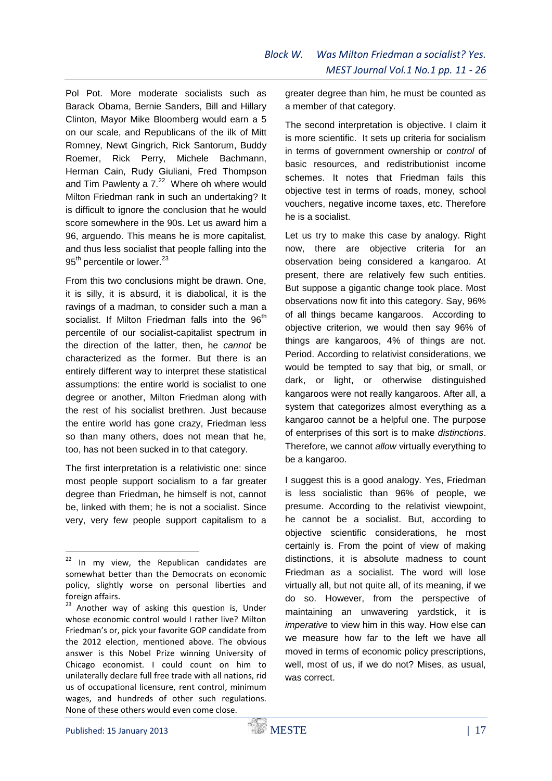Pol Pot. More moderate socialists such as Barack Obama, Bernie Sanders, Bill and Hillary Clinton, Mayor Mike Bloomberg would earn a 5 on our scale, and Republicans of the ilk of Mitt Romney, Newt Gingrich, Rick Santorum, Buddy Roemer, Rick Perry, Michele Bachmann, Herman Cain, Rudy Giuliani, Fred Thompson and Tim Pawlenty a  $7.^{22}$  Where oh where would Milton Friedman rank in such an undertaking? It is difficult to ignore the conclusion that he would score somewhere in the 90s. Let us award him a 96, arguendo. This means he is more capitalist, and thus less socialist that people falling into the 95<sup>th</sup> percentile or lower.<sup>23</sup>

From this two conclusions might be drawn. One, it is silly, it is absurd, it is diabolical, it is the ravings of a madman, to consider such a man a socialist. If Milton Friedman falls into the 96<sup>th</sup> percentile of our socialist-capitalist spectrum in the direction of the latter, then, he *cannot* be characterized as the former. But there is an entirely different way to interpret these statistical assumptions: the entire world is socialist to one degree or another, Milton Friedman along with the rest of his socialist brethren. Just because the entire world has gone crazy, Friedman less so than many others, does not mean that he, too, has not been sucked in to that category.

The first interpretation is a relativistic one: since most people support socialism to a far greater degree than Friedman, he himself is not, cannot be, linked with them; he is not a socialist. Since very, very few people support capitalism to a

greater degree than him, he must be counted as a member of that category.

The second interpretation is objective. I claim it is more scientific. It sets up criteria for socialism in terms of government ownership or *control* of basic resources, and redistributionist income schemes. It notes that Friedman fails this objective test in terms of roads, money, school vouchers, negative income taxes, etc. Therefore he is a socialist.

Let us try to make this case by analogy. Right now, there are objective criteria for an observation being considered a kangaroo. At present, there are relatively few such entities. But suppose a gigantic change took place. Most observations now fit into this category. Say, 96% of all things became kangaroos. According to objective criterion, we would then say 96% of things are kangaroos, 4% of things are not. Period. According to relativist considerations, we would be tempted to say that big, or small, or dark, or light, or otherwise distinguished kangaroos were not really kangaroos. After all, a system that categorizes almost everything as a kangaroo cannot be a helpful one. The purpose of enterprises of this sort is to make *distinctions*. Therefore, we cannot *allow* virtually everything to be a kangaroo.

I suggest this is a good analogy. Yes, Friedman is less socialistic than 96% of people, we presume. According to the relativist viewpoint, he cannot be a socialist. But, according to objective scientific considerations, he most certainly is. From the point of view of making distinctions, it is absolute madness to count Friedman as a socialist. The word will lose virtually all, but not quite all, of its meaning, if we do so. However, from the perspective of maintaining an unwavering yardstick, it is *imperative* to view him in this way. How else can we measure how far to the left we have all moved in terms of economic policy prescriptions, well, most of us, if we do not? Mises, as usual, was correct.

 $22$  In my view, the Republican candidates are somewhat better than the Democrats on economic policy, slightly worse on personal liberties and foreign affairs.

<sup>&</sup>lt;sup>23</sup> Another way of asking this question is, Under whose economic control would I rather live? Milton Friedman's or, pick your favorite GOP candidate from the 2012 election, mentioned above. The obvious answer is this Nobel Prize winning University of Chicago economist. I could count on him to unilaterally declare full free trade with all nations, rid us of occupational licensure, rent control, minimum wages, and hundreds of other such regulations. None of these others would even come close.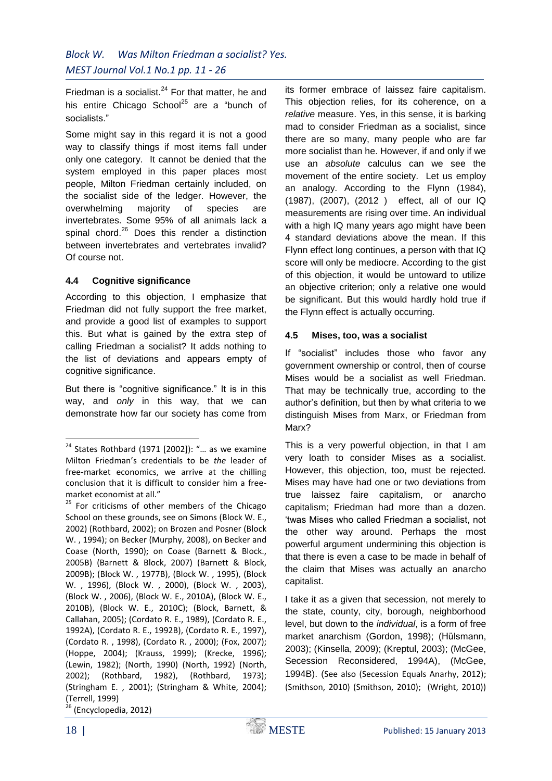Friedman is a socialist. $24$  For that matter, he and his entire Chicago School $^{25}$  are a "bunch of socialists."

Some might say in this regard it is not a good way to classify things if most items fall under only one category. It cannot be denied that the system employed in this paper places most people, Milton Friedman certainly included, on the socialist side of the ledger. However, the overwhelming majority of species are invertebrates. Some 95% of all animals lack a spinal chord. $26$  Does this render a distinction between invertebrates and vertebrates invalid? Of course not.

## **4.4 Cognitive significance**

According to this objection, I emphasize that Friedman did not fully support the free market, and provide a good list of examples to support this. But what is gained by the extra step of calling Friedman a socialist? It adds nothing to the list of deviations and appears empty of cognitive significance.

But there is "cognitive significance." It is in this way, and *only* in this way, that we can demonstrate how far our society has come from

(Encyclopedia, 2012)

its former embrace of laissez faire capitalism. This objection relies, for its coherence, on a *relative* measure. Yes, in this sense, it is barking mad to consider Friedman as a socialist, since there are so many, many people who are far more socialist than he. However, if and only if we use an *absolute* calculus can we see the movement of the entire society. Let us employ an analogy. According to the Flynn (1984), (1987), (2007), (2012 ) effect, all of our IQ measurements are rising over time. An individual with a high IQ many years ago might have been 4 standard deviations above the mean. If this Flynn effect long continues, a person with that IQ score will only be mediocre. According to the gist of this objection, it would be untoward to utilize an objective criterion; only a relative one would be significant. But this would hardly hold true if the Flynn effect is actually occurring.

## **4.5 Mises, too, was a socialist**

If "socialist" includes those who favor any government ownership or control, then of course Mises would be a socialist as well Friedman. That may be technically true, according to the author's definition, but then by what criteria to we distinguish Mises from Marx, or Friedman from Marx?

This is a very powerful objection, in that I am very loath to consider Mises as a socialist. However, this objection, too, must be rejected. Mises may have had one or two deviations from true laissez faire capitalism, or anarcho capitalism; Friedman had more than a dozen. 'twas Mises who called Friedman a socialist, not the other way around. Perhaps the most powerful argument undermining this objection is that there is even a case to be made in behalf of the claim that Mises was actually an anarcho capitalist.

I take it as a given that secession, not merely to the state, county, city, borough, neighborhood level, but down to the *individual*, is a form of free market anarchism (Gordon, 1998); (Hülsmann, 2003); (Kinsella, 2009); (Kreptul, 2003); (McGee, Secession Reconsidered, 1994A), (McGee, 1994B). (See also (Secession Equals Anarhy, 2012); (Smithson, 2010) (Smithson, 2010); (Wright, 2010))

 $24$  States Rothbard (1971 [2002]): "... as we examine Milton Friedman's credentials to be *the* leader of free-market economics, we arrive at the chilling conclusion that it is difficult to consider him a freemarket economist at all."

<sup>&</sup>lt;sup>25</sup> For criticisms of other members of the Chicago School on these grounds, see on Simons (Block W. E., 2002) (Rothbard, 2002); on Brozen and Posner (Block W. , 1994); on Becker (Murphy, 2008), on Becker and Coase (North, 1990); on Coase (Barnett & Block., 2005B) (Barnett & Block, 2007) (Barnett & Block, 2009B); (Block W. , 1977B), (Block W. , 1995), (Block W. , 1996), (Block W. , 2000), (Block W. , 2003), (Block W. , 2006), (Block W. E., 2010A), (Block W. E., 2010B), (Block W. E., 2010C); (Block, Barnett, & Callahan, 2005); (Cordato R. E., 1989), (Cordato R. E., 1992A), (Cordato R. E., 1992B), (Cordato R. E., 1997), (Cordato R. , 1998), (Cordato R. , 2000); (Fox, 2007); (Hoppe, 2004); (Krauss, 1999); (Krecke, 1996); (Lewin, 1982); (North, 1990) (North, 1992) (North, 2002); (Rothbard, 1982), (Rothbard, 1973); (Stringham E. , 2001); (Stringham & White, 2004); (Terrell, 1999)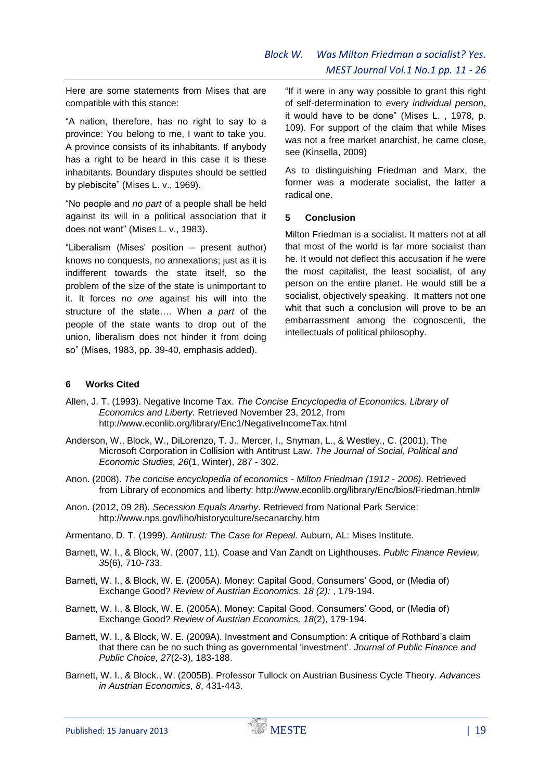Here are some statements from Mises that are compatible with this stance:

"A nation, therefore, has no right to say to a province: You belong to me, I want to take you. A province consists of its inhabitants. If anybody has a right to be heard in this case it is these inhabitants. Boundary disputes should be settled by plebiscite" (Mises L. v., 1969).

"No people and *no part* of a people shall be held against its will in a political association that it does not want" (Mises L. v., 1983).

"Liberalism (Mises' position – present author) knows no conquests, no annexations; just as it is indifferent towards the state itself, so the problem of the size of the state is unimportant to it. It forces *no one* against his will into the structure of the state…. When *a part* of the people of the state wants to drop out of the union, liberalism does not hinder it from doing so" (Mises, 1983, pp. 39-40, emphasis added).

"If it were in any way possible to grant this right of self-determination to every *individual person*, it would have to be done" (Mises L. , 1978, p. 109). For support of the claim that while Mises was not a free market anarchist, he came close, see (Kinsella, 2009)

As to distinguishing Friedman and Marx, the former was a moderate socialist, the latter a radical one.

## **5 Conclusion**

Milton Friedman is a socialist. It matters not at all that most of the world is far more socialist than he. It would not deflect this accusation if he were the most capitalist, the least socialist, of any person on the entire planet. He would still be a socialist, objectively speaking. It matters not one whit that such a conclusion will prove to be an embarrassment among the cognoscenti, the intellectuals of political philosophy.

## **6 Works Cited**

- Allen, J. T. (1993). Negative Income Tax. *The Concise Encyclopedia of Economics. Library of Economics and Liberty.* Retrieved November 23, 2012, from http://www.econlib.org/library/Enc1/NegativeIncomeTax.html
- Anderson, W., Block, W., DiLorenzo, T. J., Mercer, I., Snyman, L., & Westley., C. (2001). The Microsoft Corporation in Collision with Antitrust Law. *The Journal of Social, Political and Economic Studies, 26*(1, Winter), 287 - 302.
- Anon. (2008). *The concise encyclopedia of economics - Milton Friedman (1912 - 2006).* Retrieved from Library of economics and liberty: http://www.econlib.org/library/Enc/bios/Friedman.html#
- Anon. (2012, 09 28). *Secession Equals Anarhy*. Retrieved from National Park Service: http://www.nps.gov/liho/historyculture/secanarchy.htm
- Armentano, D. T. (1999). *Antitrust: The Case for Repeal.* Auburn, AL: Mises Institute.
- Barnett, W. I., & Block, W. (2007, 11). Coase and Van Zandt on Lighthouses. *Public Finance Review, 35*(6), 710-733.
- Barnett, W. I., & Block, W. E. (2005A). Money: Capital Good, Consumers' Good, or (Media of) Exchange Good? *Review of Austrian Economics. 18 (2):* , 179-194.
- Barnett, W. I., & Block, W. E. (2005A). Money: Capital Good, Consumers' Good, or (Media of) Exchange Good? *Review of Austrian Economics, 18*(2), 179-194.
- Barnett, W. I., & Block, W. E. (2009A). Investment and Consumption: A critique of Rothbard's claim that there can be no such thing as governmental 'investment'. *Journal of Public Finance and Public Choice, 27*(2-3), 183-188.
- Barnett, W. I., & Block., W. (2005B). Professor Tullock on Austrian Business Cycle Theory. *Advances in Austrian Economics, 8*, 431-443.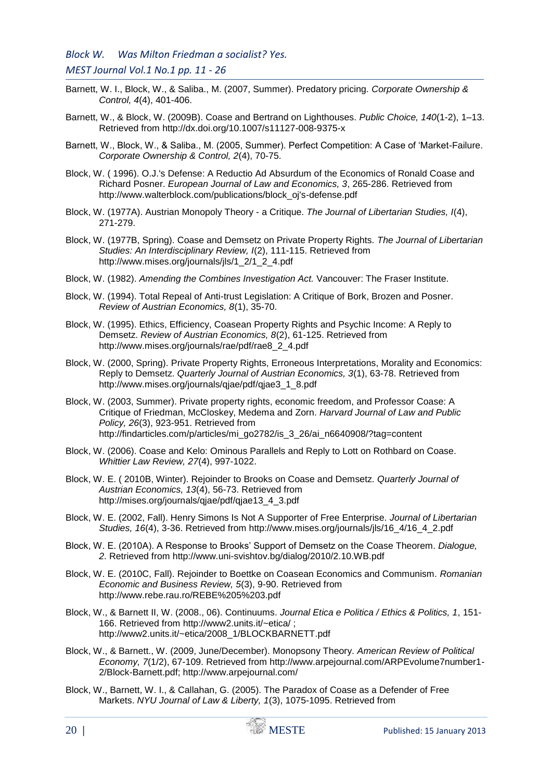- Barnett, W. I., Block, W., & Saliba., M. (2007, Summer). Predatory pricing. *Corporate Ownership & Control, 4*(4), 401-406.
- Barnett, W., & Block, W. (2009B). Coase and Bertrand on Lighthouses. *Public Choice, 140*(1-2), 1–13. Retrieved from http://dx.doi.org/10.1007/s11127-008-9375-x
- Barnett, W., Block, W., & Saliba., M. (2005, Summer). Perfect Competition: A Case of 'Market-Failure. *Corporate Ownership & Control, 2*(4), 70-75.
- Block, W. ( 1996). O.J.'s Defense: A Reductio Ad Absurdum of the Economics of Ronald Coase and Richard Posner. *European Journal of Law and Economics, 3*, 265-286. Retrieved from http://www.walterblock.com/publications/block\_oj's-defense.pdf
- Block, W. (1977A). Austrian Monopoly Theory a Critique. *The Journal of Libertarian Studies, I*(4), 271-279.
- Block, W. (1977B, Spring). Coase and Demsetz on Private Property Rights. *The Journal of Libertarian Studies: An Interdisciplinary Review, I*(2), 111-115. Retrieved from http://www.mises.org/journals/jls/1\_2/1\_2\_4.pdf
- Block, W. (1982). *Amending the Combines Investigation Act.* Vancouver: The Fraser Institute.
- Block, W. (1994). Total Repeal of Anti-trust Legislation: A Critique of Bork, Brozen and Posner. *Review of Austrian Economics, 8*(1), 35-70.
- Block, W. (1995). Ethics, Efficiency, Coasean Property Rights and Psychic Income: A Reply to Demsetz. *Review of Austrian Economics, 8*(2), 61-125. Retrieved from http://www.mises.org/journals/rae/pdf/rae8\_2\_4.pdf
- Block, W. (2000, Spring). Private Property Rights, Erroneous Interpretations, Morality and Economics: Reply to Demsetz. *Quarterly Journal of Austrian Economics, 3*(1), 63-78. Retrieved from http://www.mises.org/journals/qjae/pdf/qjae3\_1\_8.pdf
- Block, W. (2003, Summer). Private property rights, economic freedom, and Professor Coase: A Critique of Friedman, McCloskey, Medema and Zorn. *Harvard Journal of Law and Public Policy, 26*(3), 923-951. Retrieved from http://findarticles.com/p/articles/mi\_go2782/is\_3\_26/ai\_n6640908/?tag=content
- Block, W. (2006). Coase and Kelo: Ominous Parallels and Reply to Lott on Rothbard on Coase. *Whittier Law Review, 27*(4), 997-1022.
- Block, W. E. ( 2010B, Winter). Rejoinder to Brooks on Coase and Demsetz. *Quarterly Journal of Austrian Economics, 13*(4), 56-73. Retrieved from http://mises.org/journals/qjae/pdf/qjae13\_4\_3.pdf
- Block, W. E. (2002, Fall). Henry Simons Is Not A Supporter of Free Enterprise. *Journal of Libertarian Studies, 16*(4), 3-36. Retrieved from http://www.mises.org/journals/jls/16\_4/16\_4\_2.pdf
- Block, W. E. (2010A). A Response to Brooks' Support of Demsetz on the Coase Theorem. *Dialogue, 2*. Retrieved from http://www.uni-svishtov.bg/dialog/2010/2.10.WB.pdf
- Block, W. E. (2010C, Fall). Rejoinder to Boettke on Coasean Economics and Communism. *Romanian Economic and Business Review, 5*(3), 9-90. Retrieved from http://www.rebe.rau.ro/REBE%205%203.pdf
- Block, W., & Barnett II, W. (2008., 06). Continuums. *Journal Etica e Politica / Ethics & Politics, 1*, 151- 166. Retrieved from http://www2.units.it/~etica/ ; http://www2.units.it/~etica/2008\_1/BLOCKBARNETT.pdf
- Block, W., & Barnett., W. (2009, June/December). Monopsony Theory. *American Review of Political Economy, 7*(1/2), 67-109. Retrieved from http://www.arpejournal.com/ARPEvolume7number1- 2/Block-Barnett.pdf; http://www.arpejournal.com/
- Block, W., Barnett, W. I., & Callahan, G. (2005). The Paradox of Coase as a Defender of Free Markets. *NYU Journal of Law & Liberty, 1*(3), 1075-1095. Retrieved from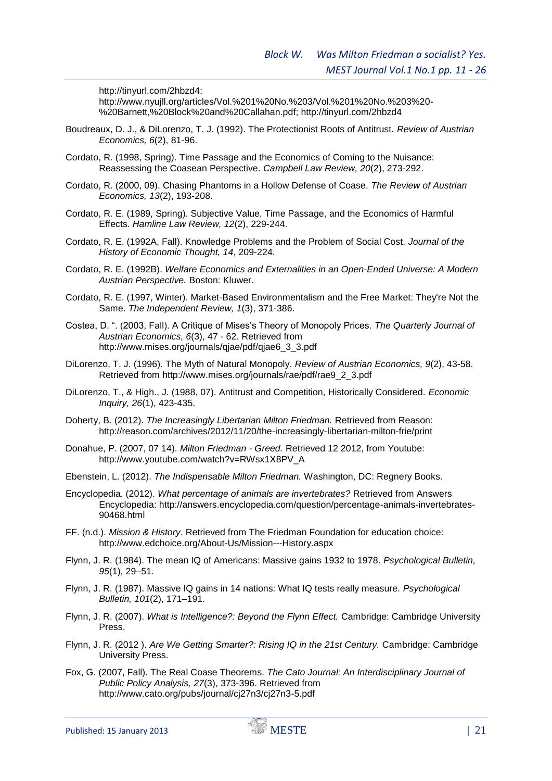http://tinyurl.com/2hbzd4;

http://www.nyujll.org/articles/Vol.%201%20No.%203/Vol.%201%20No.%203%20- %20Barnett,%20Block%20and%20Callahan.pdf; http://tinyurl.com/2hbzd4

- Boudreaux, D. J., & DiLorenzo, T. J. (1992). The Protectionist Roots of Antitrust. *Review of Austrian Economics, 6*(2), 81-96.
- Cordato, R. (1998, Spring). Time Passage and the Economics of Coming to the Nuisance: Reassessing the Coasean Perspective. *Campbell Law Review, 20*(2), 273-292.
- Cordato, R. (2000, 09). Chasing Phantoms in a Hollow Defense of Coase. *The Review of Austrian Economics, 13*(2), 193-208.
- Cordato, R. E. (1989, Spring). Subjective Value, Time Passage, and the Economics of Harmful Effects. *Hamline Law Review, 12*(2), 229-244.
- Cordato, R. E. (1992A, Fall). Knowledge Problems and the Problem of Social Cost. *Journal of the History of Economic Thought, 14*, 209-224.
- Cordato, R. E. (1992B). *Welfare Economics and Externalities in an Open-Ended Universe: A Modern Austrian Perspective.* Boston: Kluwer.
- Cordato, R. E. (1997, Winter). Market-Based Environmentalism and the Free Market: They're Not the Same. *The Independent Review, 1*(3), 371-386.
- Costea, D. ". (2003, Fall). A Critique of Mises's Theory of Monopoly Prices. *The Quarterly Journal of Austrian Economics, 6*(3), 47 - 62. Retrieved from http://www.mises.org/journals/qjae/pdf/qjae6\_3\_3.pdf
- DiLorenzo, T. J. (1996). The Myth of Natural Monopoly. *Review of Austrian Economics, 9*(2), 43-58. Retrieved from http://www.mises.org/journals/rae/pdf/rae9\_2\_3.pdf
- DiLorenzo, T., & High., J. (1988, 07). Antitrust and Competition, Historically Considered. *Economic Inquiry, 26*(1), 423-435.
- Doherty, B. (2012). *The Increasingly Libertarian Milton Friedman.* Retrieved from Reason: http://reason.com/archives/2012/11/20/the-increasingly-libertarian-milton-frie/print
- Donahue, P. (2007, 07 14). *Milton Friedman - Greed.* Retrieved 12 2012, from Youtube: http://www.youtube.com/watch?v=RWsx1X8PV\_A
- Ebenstein, L. (2012). *The Indispensable Milton Friedman.* Washington, DC: Regnery Books.
- Encyclopedia. (2012). *What percentage of animals are invertebrates?* Retrieved from Answers Encyclopedia: http://answers.encyclopedia.com/question/percentage-animals-invertebrates-90468.html
- FF. (n.d.). *Mission & History.* Retrieved from The Friedman Foundation for education choice: http://www.edchoice.org/About-Us/Mission---History.aspx
- Flynn, J. R. (1984). The mean IQ of Americans: Massive gains 1932 to 1978. *Psychological Bulletin, 95*(1), 29–51.
- Flynn, J. R. (1987). Massive IQ gains in 14 nations: What IQ tests really measure. *Psychological Bulletin, 101*(2), 171–191.
- Flynn, J. R. (2007). *What is Intelligence?: Beyond the Flynn Effect.* Cambridge: Cambridge University Press.
- Flynn, J. R. (2012 ). *Are We Getting Smarter?: Rising IQ in the 21st Century.* Cambridge: Cambridge University Press.
- Fox, G. (2007, Fall). The Real Coase Theorems. *The Cato Journal: An Interdisciplinary Journal of Public Policy Analysis, 27*(3), 373-396. Retrieved from http://www.cato.org/pubs/journal/cj27n3/cj27n3-5.pdf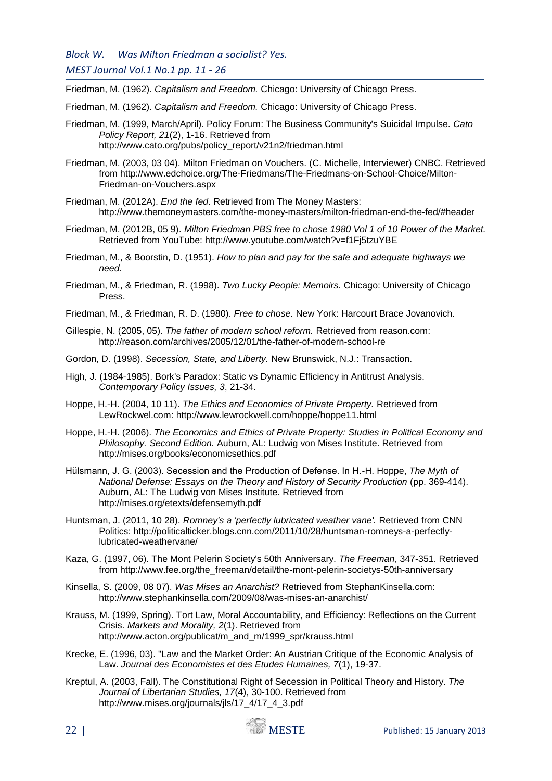Friedman, M. (1962). *Capitalism and Freedom.* Chicago: University of Chicago Press.

Friedman, M. (1962). *Capitalism and Freedom.* Chicago: University of Chicago Press.

- Friedman, M. (1999, March/April). Policy Forum: The Business Community's Suicidal Impulse. *Cato Policy Report, 21*(2), 1-16. Retrieved from http://www.cato.org/pubs/policy\_report/v21n2/friedman.html
- Friedman, M. (2003, 03 04). Milton Friedman on Vouchers. (C. Michelle, Interviewer) CNBC. Retrieved from http://www.edchoice.org/The-Friedmans/The-Friedmans-on-School-Choice/Milton-Friedman-on-Vouchers.aspx
- Friedman, M. (2012A). *End the fed*. Retrieved from The Money Masters: http://www.themoneymasters.com/the-money-masters/milton-friedman-end-the-fed/#header
- Friedman, M. (2012B, 05 9). *Milton Friedman PBS free to chose 1980 Vol 1 of 10 Power of the Market.* Retrieved from YouTube: http://www.youtube.com/watch?v=f1Fj5tzuYBE
- Friedman, M., & Boorstin, D. (1951). *How to plan and pay for the safe and adequate highways we need.*
- Friedman, M., & Friedman, R. (1998). *Two Lucky People: Memoirs.* Chicago: University of Chicago Press.
- Friedman, M., & Friedman, R. D. (1980). *Free to chose.* New York: Harcourt Brace Jovanovich.
- Gillespie, N. (2005, 05). *The father of modern school reform.* Retrieved from reason.com: http://reason.com/archives/2005/12/01/the-father-of-modern-school-re
- Gordon, D. (1998). *Secession, State, and Liberty.* New Brunswick, N.J.: Transaction.
- High, J. (1984-1985). Bork's Paradox: Static vs Dynamic Efficiency in Antitrust Analysis. *Contemporary Policy Issues, 3*, 21-34.
- Hoppe, H.-H. (2004, 10 11). *The Ethics and Economics of Private Property.* Retrieved from LewRockwel.com: http://www.lewrockwell.com/hoppe/hoppe11.html
- Hoppe, H.-H. (2006). *The Economics and Ethics of Private Property: Studies in Political Economy and Philosophy. Second Edition.* Auburn, AL: Ludwig von Mises Institute. Retrieved from http://mises.org/books/economicsethics.pdf
- Hülsmann, J. G. (2003). Secession and the Production of Defense. In H.-H. Hoppe, *The Myth of National Defense: Essays on the Theory and History of Security Production* (pp. 369-414). Auburn, AL: The Ludwig von Mises Institute. Retrieved from http://mises.org/etexts/defensemyth.pdf
- Huntsman, J. (2011, 10 28). *Romney's a 'perfectly lubricated weather vane'.* Retrieved from CNN Politics: http://politicalticker.blogs.cnn.com/2011/10/28/huntsman-romneys-a-perfectlylubricated-weathervane/
- Kaza, G. (1997, 06). The Mont Pelerin Society's 50th Anniversary. *The Freeman*, 347-351. Retrieved from http://www.fee.org/the\_freeman/detail/the-mont-pelerin-societys-50th-anniversary
- Kinsella, S. (2009, 08 07). *Was Mises an Anarchist?* Retrieved from StephanKinsella.com: http://www.stephankinsella.com/2009/08/was-mises-an-anarchist/
- Krauss, M. (1999, Spring). Tort Law, Moral Accountability, and Efficiency: Reflections on the Current Crisis. *Markets and Morality, 2*(1). Retrieved from http://www.acton.org/publicat/m\_and\_m/1999\_spr/krauss.html
- Krecke, E. (1996, 03). "Law and the Market Order: An Austrian Critique of the Economic Analysis of Law. *Journal des Economistes et des Etudes Humaines, 7*(1), 19-37.
- Kreptul, A. (2003, Fall). The Constitutional Right of Secession in Political Theory and History. *The Journal of Libertarian Studies, 17*(4), 30-100. Retrieved from http://www.mises.org/journals/jls/17\_4/17\_4\_3.pdf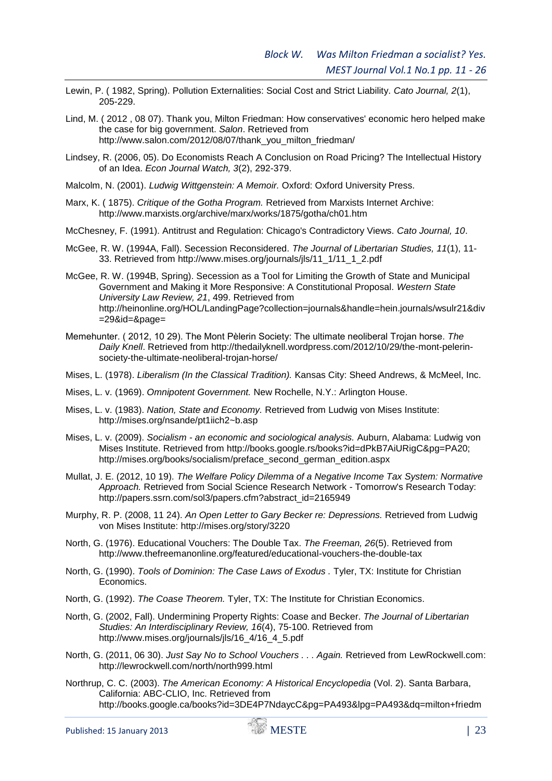- Lewin, P. ( 1982, Spring). Pollution Externalities: Social Cost and Strict Liability. *Cato Journal, 2*(1), 205-229.
- Lind, M. ( 2012 , 08 07). Thank you, Milton Friedman: How conservatives' economic hero helped make the case for big government. *Salon*. Retrieved from http://www.salon.com/2012/08/07/thank\_you\_milton\_friedman/
- Lindsey, R. (2006, 05). Do Economists Reach A Conclusion on Road Pricing? The Intellectual History of an Idea. *Econ Journal Watch, 3*(2), 292-379.
- Malcolm, N. (2001). *Ludwig Wittgenstein: A Memoir.* Oxford: Oxford University Press.
- Marx, K. ( 1875). *Critique of the Gotha Program.* Retrieved from Marxists Internet Archive: http://www.marxists.org/archive/marx/works/1875/gotha/ch01.htm
- McChesney, F. (1991). Antitrust and Regulation: Chicago's Contradictory Views. *Cato Journal, 10*.
- McGee, R. W. (1994A, Fall). Secession Reconsidered. *The Journal of Libertarian Studies, 11*(1), 11- 33. Retrieved from http://www.mises.org/journals/jls/11\_1/11\_1\_2.pdf
- McGee, R. W. (1994B, Spring). Secession as a Tool for Limiting the Growth of State and Municipal Government and Making it More Responsive: A Constitutional Proposal. *Western State University Law Review, 21*, 499. Retrieved from http://heinonline.org/HOL/LandingPage?collection=journals&handle=hein.journals/wsulr21&div =29&id=&page=
- Memehunter. ( 2012, 10 29). The Mont Pèlerin Society: The ultimate neoliberal Trojan horse. *The Daily Knell*. Retrieved from http://thedailyknell.wordpress.com/2012/10/29/the-mont-pelerinsociety-the-ultimate-neoliberal-trojan-horse/
- Mises, L. (1978). *Liberalism (In the Classical Tradition).* Kansas City: Sheed Andrews, & McMeel, Inc.
- Mises, L. v. (1969). *Omnipotent Government.* New Rochelle, N.Y.: Arlington House.
- Mises, L. v. (1983). *Nation, State and Economy.* Retrieved from Ludwig von Mises Institute: http://mises.org/nsande/pt1iich2~b.asp
- Mises, L. v. (2009). *Socialism - an economic and sociological analysis.* Auburn, Alabama: Ludwig von Mises Institute. Retrieved from http://books.google.rs/books?id=dPkB7AiURigC&pg=PA20; http://mises.org/books/socialism/preface\_second\_german\_edition.aspx
- Mullat, J. E. (2012, 10 19). *The Welfare Policy Dilemma of a Negative Income Tax System: Normative Approach.* Retrieved from Social Science Research Network - Tomorrow's Research Today: http://papers.ssrn.com/sol3/papers.cfm?abstract\_id=2165949
- Murphy, R. P. (2008, 11 24). *An Open Letter to Gary Becker re: Depressions.* Retrieved from Ludwig von Mises Institute: http://mises.org/story/3220
- North, G. (1976). Educational Vouchers: The Double Tax. *The Freeman, 26*(5). Retrieved from http://www.thefreemanonline.org/featured/educational-vouchers-the-double-tax
- North, G. (1990). *Tools of Dominion: The Case Laws of Exodus .* Tyler, TX: Institute for Christian Economics.
- North, G. (1992). *The Coase Theorem.* Tyler, TX: The Institute for Christian Economics.
- North, G. (2002, Fall). Undermining Property Rights: Coase and Becker. *The Journal of Libertarian Studies: An Interdisciplinary Review, 16*(4), 75-100. Retrieved from http://www.mises.org/journals/jls/16\_4/16\_4\_5.pdf
- North, G. (2011, 06 30). *Just Say No to School Vouchers . . . Again.* Retrieved from LewRockwell.com: http://lewrockwell.com/north/north999.html
- Northrup, C. C. (2003). *The American Economy: A Historical Encyclopedia* (Vol. 2). Santa Barbara, California: ABC-CLIO, Inc. Retrieved from http://books.google.ca/books?id=3DE4P7NdaycC&pg=PA493&lpg=PA493&dq=milton+friedm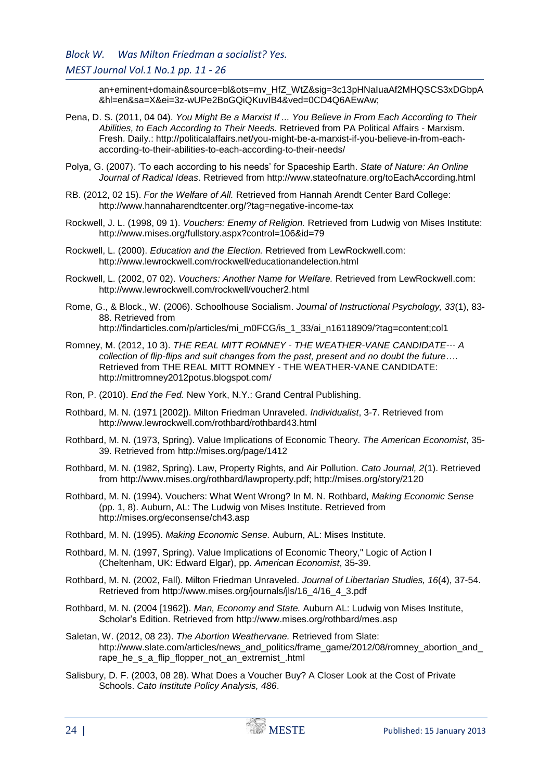an+eminent+domain&source=bl&ots=mv\_HfZ\_WtZ&sig=3c13pHNaIuaAf2MHQSCS3xDGbpA &hl=en&sa=X&ei=3z-wUPe2BoGQiQKuvIB4&ved=0CD4Q6AEwAw;

- Pena, D. S. (2011, 04 04). *You Might Be a Marxist If ... You Believe in From Each According to Their Abilities, to Each According to Their Needs.* Retrieved from PA Political Affairs - Marxism. Fresh. Daily.: http://politicalaffairs.net/you-might-be-a-marxist-if-you-believe-in-from-eachaccording-to-their-abilities-to-each-according-to-their-needs/
- Polya, G. (2007). 'To each according to his needs' for Spaceship Earth. *State of Nature: An Online Journal of Radical Ideas*. Retrieved from http://www.stateofnature.org/toEachAccording.html
- RB. (2012, 02 15). *For the Welfare of All.* Retrieved from Hannah Arendt Center Bard College: http://www.hannaharendtcenter.org/?tag=negative-income-tax
- Rockwell, J. L. (1998, 09 1). *Vouchers: Enemy of Religion.* Retrieved from Ludwig von Mises Institute: http://www.mises.org/fullstory.aspx?control=106&id=79
- Rockwell, L. (2000). *Education and the Election.* Retrieved from LewRockwell.com: http://www.lewrockwell.com/rockwell/educationandelection.html
- Rockwell, L. (2002, 07 02). *Vouchers: Another Name for Welfare.* Retrieved from LewRockwell.com: http://www.lewrockwell.com/rockwell/voucher2.html
- Rome, G., & Block., W. (2006). Schoolhouse Socialism. *Journal of Instructional Psychology, 33*(1), 83- 88. Retrieved from http://findarticles.com/p/articles/mi\_m0FCG/is\_1\_33/ai\_n16118909/?tag=content;col1
- Romney, M. (2012, 10 3). *THE REAL MITT ROMNEY - THE WEATHER-VANE CANDIDATE--- A collection of flip-flips and suit changes from the past, present and no doubt the future…*. Retrieved from THE REAL MITT ROMNEY - THE WEATHER-VANE CANDIDATE: http://mittromney2012potus.blogspot.com/
- Ron, P. (2010). *End the Fed.* New York, N.Y.: Grand Central Publishing.
- Rothbard, M. N. (1971 [2002]). Milton Friedman Unraveled. *Individualist*, 3-7. Retrieved from http://www.lewrockwell.com/rothbard/rothbard43.html
- Rothbard, M. N. (1973, Spring). Value Implications of Economic Theory. *The American Economist*, 35- 39. Retrieved from http://mises.org/page/1412
- Rothbard, M. N. (1982, Spring). Law, Property Rights, and Air Pollution. *Cato Journal, 2*(1). Retrieved from http://www.mises.org/rothbard/lawproperty.pdf; http://mises.org/story/2120
- Rothbard, M. N. (1994). Vouchers: What Went Wrong? In M. N. Rothbard, *Making Economic Sense* (pp. 1, 8). Auburn, AL: The Ludwig von Mises Institute. Retrieved from http://mises.org/econsense/ch43.asp
- Rothbard, M. N. (1995). *Making Economic Sense.* Auburn, AL: Mises Institute.
- Rothbard, M. N. (1997, Spring). Value Implications of Economic Theory," Logic of Action I (Cheltenham, UK: Edward Elgar), pp. *American Economist*, 35-39.
- Rothbard, M. N. (2002, Fall). Milton Friedman Unraveled. *Journal of Libertarian Studies, 16*(4), 37-54. Retrieved from http://www.mises.org/journals/jls/16\_4/16\_4\_3.pdf
- Rothbard, M. N. (2004 [1962]). *Man, Economy and State.* Auburn AL: Ludwig von Mises Institute, Scholar's Edition. Retrieved from http://www.mises.org/rothbard/mes.asp
- Saletan, W. (2012, 08 23). *The Abortion Weathervane.* Retrieved from Slate: http://www.slate.com/articles/news\_and\_politics/frame\_game/2012/08/romney\_abortion\_and\_ rape he s a flip flopper not an extremist .html
- Salisbury, D. F. (2003, 08 28). What Does a Voucher Buy? A Closer Look at the Cost of Private Schools. *Cato Institute Policy Analysis, 486*.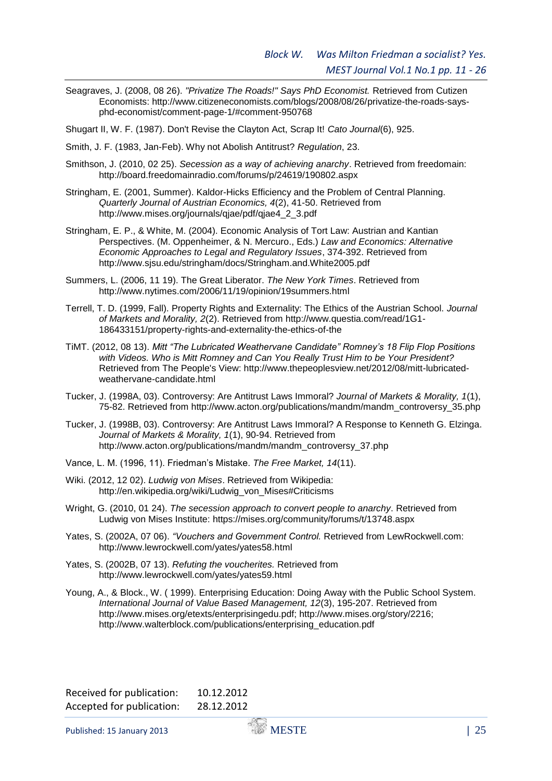Seagraves, J. (2008, 08 26). *"Privatize The Roads!" Says PhD Economist.* Retrieved from Cutizen Economists: http://www.citizeneconomists.com/blogs/2008/08/26/privatize-the-roads-saysphd-economist/comment-page-1/#comment-950768

Shugart II, W. F. (1987). Don't Revise the Clayton Act, Scrap It! *Cato Journal*(6), 925.

Smith, J. F. (1983, Jan-Feb). Why not Abolish Antitrust? *Regulation*, 23.

- Smithson, J. (2010, 02 25). *Secession as a way of achieving anarchy*. Retrieved from freedomain: http://board.freedomainradio.com/forums/p/24619/190802.aspx
- Stringham, E. (2001, Summer). Kaldor-Hicks Efficiency and the Problem of Central Planning. *Quarterly Journal of Austrian Economics, 4*(2), 41-50. Retrieved from http://www.mises.org/journals/qjae/pdf/qjae4\_2\_3.pdf
- Stringham, E. P., & White, M. (2004). Economic Analysis of Tort Law: Austrian and Kantian Perspectives. (M. Oppenheimer, & N. Mercuro., Eds.) *Law and Economics: Alternative Economic Approaches to Legal and Regulatory Issues*, 374-392. Retrieved from http://www.sjsu.edu/stringham/docs/Stringham.and.White2005.pdf
- Summers, L. (2006, 11 19). The Great Liberator. *The New York Times*. Retrieved from http://www.nytimes.com/2006/11/19/opinion/19summers.html
- Terrell, T. D. (1999, Fall). Property Rights and Externality: The Ethics of the Austrian School. *Journal of Markets and Morality, 2*(2). Retrieved from http://www.questia.com/read/1G1- 186433151/property-rights-and-externality-the-ethics-of-the
- TiMT. (2012, 08 13). *Mitt "The Lubricated Weathervane Candidate" Romney's 18 Flip Flop Positions with Videos. Who is Mitt Romney and Can You Really Trust Him to be Your President?* Retrieved from The People's View: http://www.thepeoplesview.net/2012/08/mitt-lubricatedweathervane-candidate.html
- Tucker, J. (1998A, 03). Controversy: Are Antitrust Laws Immoral? *Journal of Markets & Morality, 1*(1), 75-82. Retrieved from http://www.acton.org/publications/mandm/mandm\_controversy\_35.php
- Tucker, J. (1998B, 03). Controversy: Are Antitrust Laws Immoral? A Response to Kenneth G. Elzinga. *Journal of Markets & Morality, 1*(1), 90-94. Retrieved from http://www.acton.org/publications/mandm/mandm\_controversy\_37.php
- Vance, L. M. (1996, 11). Friedman's Mistake. *The Free Market, 14*(11).
- Wiki. (2012, 12 02). *Ludwig von Mises*. Retrieved from Wikipedia: http://en.wikipedia.org/wiki/Ludwig\_von\_Mises#Criticisms
- Wright, G. (2010, 01 24). *The secession approach to convert people to anarchy*. Retrieved from Ludwig von Mises Institute: https://mises.org/community/forums/t/13748.aspx
- Yates, S. (2002A, 07 06). *"Vouchers and Government Control.* Retrieved from LewRockwell.com: http://www.lewrockwell.com/yates/yates58.html
- Yates, S. (2002B, 07 13). *Refuting the voucherites.* Retrieved from http://www.lewrockwell.com/yates/yates59.html
- Young, A., & Block., W. ( 1999). Enterprising Education: Doing Away with the Public School System. *International Journal of Value Based Management, 12*(3), 195-207. Retrieved from http://www.mises.org/etexts/enterprisingedu.pdf; http://www.mises.org/story/2216; http://www.walterblock.com/publications/enterprising\_education.pdf

| Received for publication: | 10.12.2012 |
|---------------------------|------------|
| Accepted for publication: | 28.12.2012 |